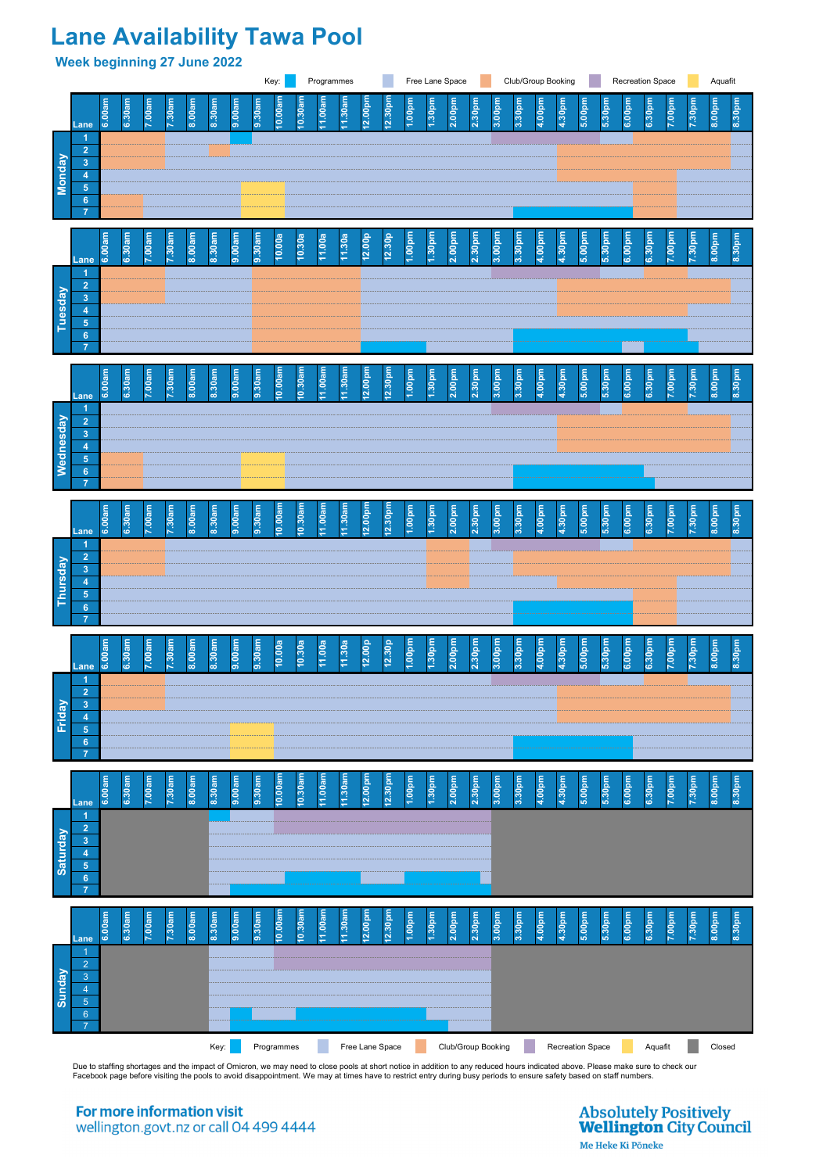## **Lane Availability Tawa Pool**

**Week beginning 27 June 2022**

Due to staffing shortages and the impact of Omicron, we may need to close pools at short notice in addition to any reduced hours indicated above. Please make sure to check our Facebook page before visiting the pools to avoid disappointment. We may at times have to restrict entry during busy periods to ensure safety based on staff numbers.

For more information visit wellington.govt.nz or call 04 499 4444



**6**

## **Absolutely Positively Wellington City Council**

Me Heke Ki Pōneke